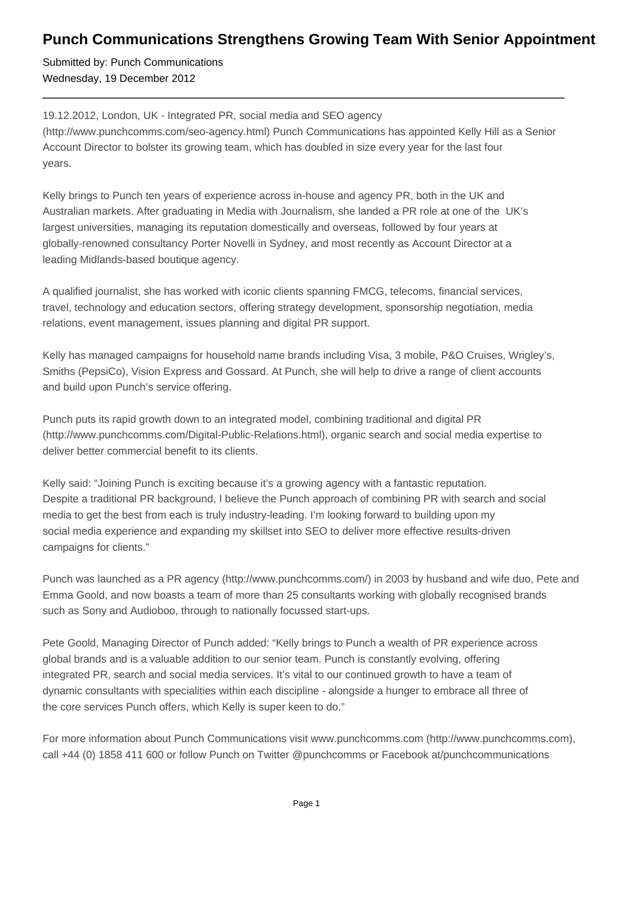## **Punch Communications Strengthens Growing Team With Senior Appointment**

Submitted by: Punch Communications Wednesday, 19 December 2012

19.12.2012, London, UK - Integrated PR, social media and SEO agency (http://www.punchcomms.com/seo-agency.html) Punch Communications has appointed Kelly Hill as a Senior Account Director to bolster its growing team, which has doubled in size every year for the last four years.

Kelly brings to Punch ten years of experience across in-house and agency PR, both in the UK and Australian markets. After graduating in Media with Journalism, she landed a PR role at one of the UK's largest universities, managing its reputation domestically and overseas, followed by four years at globally-renowned consultancy Porter Novelli in Sydney, and most recently as Account Director at a leading Midlands-based boutique agency.

A qualified journalist, she has worked with iconic clients spanning FMCG, telecoms, financial services, travel, technology and education sectors, offering strategy development, sponsorship negotiation, media relations, event management, issues planning and digital PR support.

Kelly has managed campaigns for household name brands including Visa, 3 mobile, P&O Cruises, Wrigley's, Smiths (PepsiCo), Vision Express and Gossard. At Punch, she will help to drive a range of client accounts and build upon Punch's service offering.

Punch puts its rapid growth down to an integrated model, combining traditional and digital PR (http://www.punchcomms.com/Digital-Public-Relations.html), organic search and social media expertise to deliver better commercial benefit to its clients.

Kelly said: "Joining Punch is exciting because it's a growing agency with a fantastic reputation. Despite a traditional PR background, I believe the Punch approach of combining PR with search and social media to get the best from each is truly industry-leading. I'm looking forward to building upon my social media experience and expanding my skillset into SEO to deliver more effective results-driven campaigns for clients."

Punch was launched as a PR agency (http://www.punchcomms.com/) in 2003 by husband and wife duo, Pete and Emma Goold, and now boasts a team of more than 25 consultants working with globally recognised brands such as Sony and Audioboo, through to nationally focussed start-ups.

Pete Goold, Managing Director of Punch added: "Kelly brings to Punch a wealth of PR experience across global brands and is a valuable addition to our senior team. Punch is constantly evolving, offering integrated PR, search and social media services. It's vital to our continued growth to have a team of dynamic consultants with specialities within each discipline - alongside a hunger to embrace all three of the core services Punch offers, which Kelly is super keen to do."

For more information about Punch Communications visit www.punchcomms.com (http://www.punchcomms.com), call +44 (0) 1858 411 600 or follow Punch on Twitter @punchcomms or Facebook at/punchcommunications